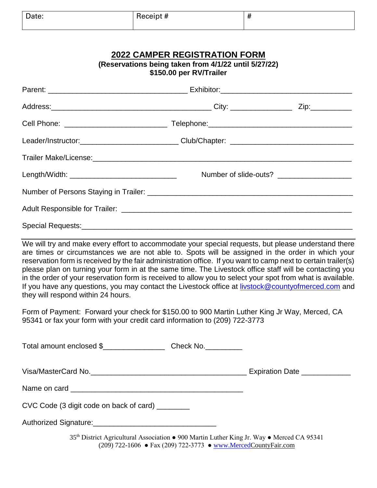| Date: | - 11<br>- - - - - -<br>п<br>eceint<br>____ | $\blacksquare$<br>л<br>π |
|-------|--------------------------------------------|--------------------------|
|       |                                            |                          |

## **2022 CAMPER REGISTRATION FORM (Reservations being taken from 4/1/22 until 5/27/22)**

| $\frac{1}{2}$<br>\$150.00 per RV/Trailer       |  |  |
|------------------------------------------------|--|--|
|                                                |  |  |
|                                                |  |  |
|                                                |  |  |
|                                                |  |  |
|                                                |  |  |
| Length/Width: ________________________________ |  |  |
|                                                |  |  |
|                                                |  |  |
|                                                |  |  |

We will try and make every effort to accommodate your special requests, but please understand there are times or circumstances we are not able to. Spots will be assigned in the order in which your reservation form is received by the fair administration office. If you want to camp next to certain trailer(s) please plan on turning your form in at the same time. The Livestock office staff will be contacting you in the order of your reservation form is received to allow you to select your spot from what is available. If you have any questions, you may contact the Livestock office at [livstock@countyofmerced.com](mailto:livstock@countyofmerced.com) and they will respond within 24 hours.

Form of Payment: Forward your check for \$150.00 to 900 Martin Luther King Jr Way, Merced, CA 95341 or fax your form with your credit card information to (209) 722-3773

Visa/MasterCard No.\_\_\_\_\_\_\_\_\_\_\_\_\_\_\_\_\_\_\_\_\_\_\_\_\_\_\_\_\_\_\_\_\_\_\_\_\_\_ Expiration Date \_\_\_\_\_\_\_\_\_\_\_\_

Name on card \_\_\_\_\_\_\_\_\_\_\_\_\_\_\_\_\_\_\_\_\_\_\_\_\_\_\_\_\_\_\_\_\_\_\_\_\_\_\_\_\_\_

CVC Code (3 digit code on back of card) \_\_\_\_\_\_\_\_

| Authorized Signature: |  |
|-----------------------|--|
|                       |  |

35th District Agricultural Association ● 900 Martin Luther King Jr. Way ● Merced CA 95341 (209) 722-1606 ● Fax (209) 722-3773 ● [www.MercedC](http://www.merced/)ountyFair.com